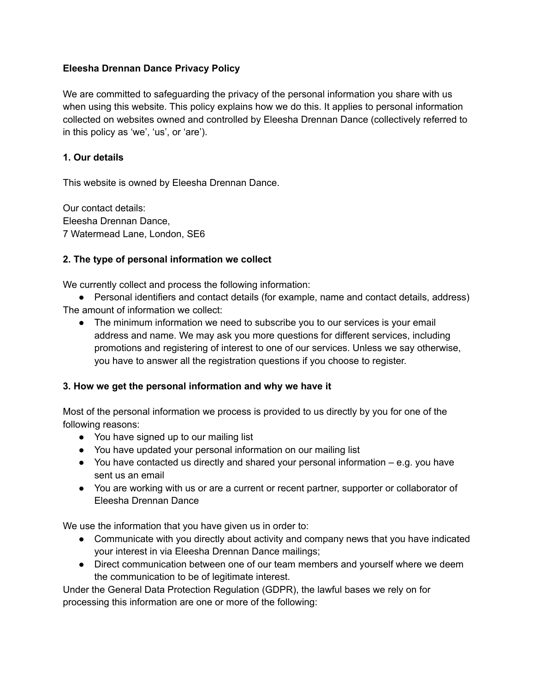#### **Eleesha Drennan Dance Privacy Policy**

We are committed to safeguarding the privacy of the personal information you share with us when using this website. This policy explains how we do this. It applies to personal information collected on websites owned and controlled by Eleesha Drennan Dance (collectively referred to in this policy as 'we', 'us', or 'are').

### **1. Our details**

This website is owned by Eleesha Drennan Dance.

Our contact details: Eleesha Drennan Dance, 7 Watermead Lane, London, SE6

## **2. The type of personal information we collect**

We currently collect and process the following information:

● Personal identifiers and contact details (for example, name and contact details, address) The amount of information we collect:

● The minimum information we need to subscribe you to our services is your email address and name. We may ask you more questions for different services, including promotions and registering of interest to one of our services. Unless we say otherwise, you have to answer all the registration questions if you choose to register.

#### **3. How we get the personal information and why we have it**

Most of the personal information we process is provided to us directly by you for one of the following reasons:

- You have signed up to our mailing list
- You have updated your personal information on our mailing list
- You have contacted us directly and shared your personal information e.g. you have sent us an email
- You are working with us or are a current or recent partner, supporter or collaborator of Eleesha Drennan Dance

We use the information that you have given us in order to:

- Communicate with you directly about activity and company news that you have indicated your interest in via Eleesha Drennan Dance mailings;
- Direct communication between one of our team members and yourself where we deem the communication to be of legitimate interest.

Under the General Data Protection Regulation (GDPR), the lawful bases we rely on for processing this information are one or more of the following: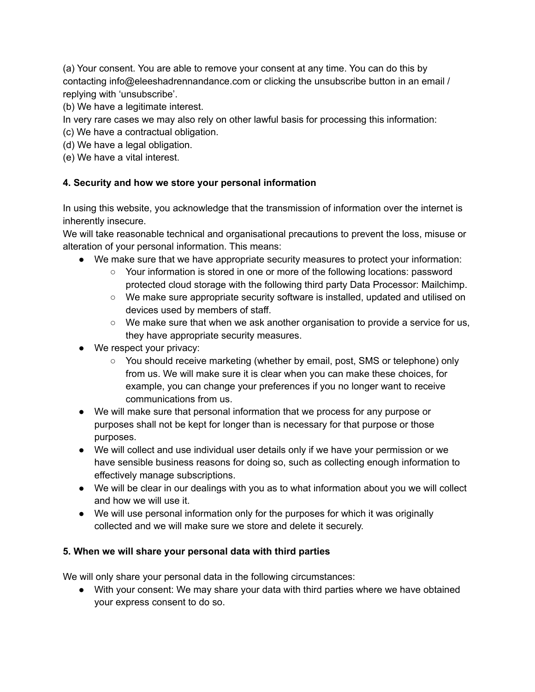(a) Your consent. You are able to remove your consent at any time. You can do this by contacting info@eleeshadrennandance.com or clicking the unsubscribe button in an email / replying with 'unsubscribe'.

(b) We have a legitimate interest.

In very rare cases we may also rely on other lawful basis for processing this information:

- (c) We have a contractual obligation.
- (d) We have a legal obligation.
- (e) We have a vital interest.

## **4. Security and how we store your personal information**

In using this website, you acknowledge that the transmission of information over the internet is inherently insecure.

We will take reasonable technical and organisational precautions to prevent the loss, misuse or alteration of your personal information. This means:

- We make sure that we have appropriate security measures to protect your information:
	- Your information is stored in one or more of the following locations: password protected cloud storage with the following third party Data Processor: Mailchimp.
	- We make sure appropriate security software is installed, updated and utilised on devices used by members of staff.
	- $\circ$  We make sure that when we ask another organisation to provide a service for us, they have appropriate security measures.
- We respect your privacy:
	- You should receive marketing (whether by email, post, SMS or telephone) only from us. We will make sure it is clear when you can make these choices, for example, you can change your preferences if you no longer want to receive communications from us.
- We will make sure that personal information that we process for any purpose or purposes shall not be kept for longer than is necessary for that purpose or those purposes.
- We will collect and use individual user details only if we have your permission or we have sensible business reasons for doing so, such as collecting enough information to effectively manage subscriptions.
- We will be clear in our dealings with you as to what information about you we will collect and how we will use it.
- We will use personal information only for the purposes for which it was originally collected and we will make sure we store and delete it securely.

#### **5. When we will share your personal data with third parties**

We will only share your personal data in the following circumstances:

● With your consent: We may share your data with third parties where we have obtained your express consent to do so.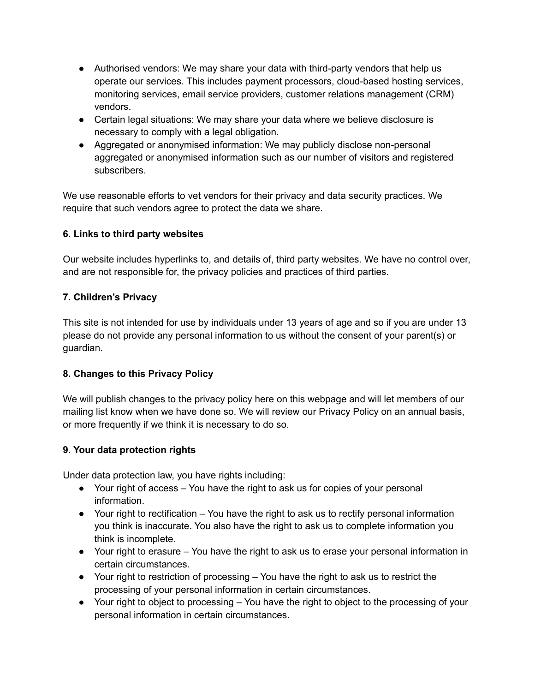- Authorised vendors: We may share your data with third-party vendors that help us operate our services. This includes payment processors, cloud-based hosting services, monitoring services, email service providers, customer relations management (CRM) vendors.
- Certain legal situations: We may share your data where we believe disclosure is necessary to comply with a legal obligation.
- Aggregated or anonymised information: We may publicly disclose non-personal aggregated or anonymised information such as our number of visitors and registered subscribers.

We use reasonable efforts to vet vendors for their privacy and data security practices. We require that such vendors agree to protect the data we share.

## **6. Links to third party websites**

Our website includes hyperlinks to, and details of, third party websites. We have no control over, and are not responsible for, the privacy policies and practices of third parties.

## **7. Children's Privacy**

This site is not intended for use by individuals under 13 years of age and so if you are under 13 please do not provide any personal information to us without the consent of your parent(s) or guardian.

# **8. Changes to this Privacy Policy**

We will publish changes to the privacy policy here on this webpage and will let members of our mailing list know when we have done so. We will review our Privacy Policy on an annual basis, or more frequently if we think it is necessary to do so.

# **9. Your data protection rights**

Under data protection law, you have rights including:

- Your right of access You have the right to ask us for copies of your personal information.
- Your right to rectification You have the right to ask us to rectify personal information you think is inaccurate. You also have the right to ask us to complete information you think is incomplete.
- Your right to erasure You have the right to ask us to erase your personal information in certain circumstances.
- Your right to restriction of processing You have the right to ask us to restrict the processing of your personal information in certain circumstances.
- Your right to object to processing You have the right to object to the processing of your personal information in certain circumstances.